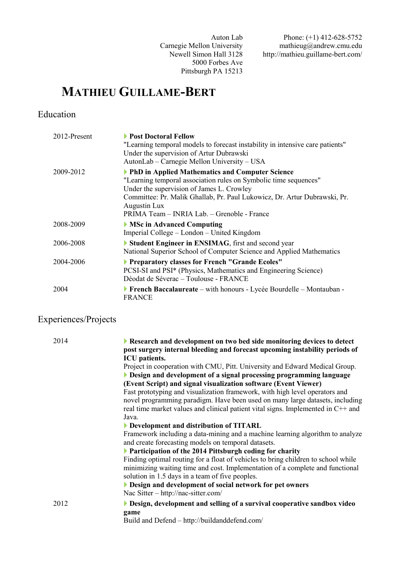Auton Lab Carnegie Mellon University Newell Simon Hall 3128 5000 Forbes Ave Pittsburgh PA 15213

Phone: (+1) 412-628-5752 mathieug@andrew.cmu.edu http://mathieu.guillame-bert.com/

# MATHIEU GUILLAME-BERT

#### Education

| 2012-Present | Post Doctoral Fellow<br>"Learning temporal models to forecast instability in intensive care patients"<br>Under the supervision of Artur Dubrawski<br>AutonLab – Carnegie Mellon University – USA                                                                                                                             |
|--------------|------------------------------------------------------------------------------------------------------------------------------------------------------------------------------------------------------------------------------------------------------------------------------------------------------------------------------|
| 2009-2012    | <b>• PhD in Applied Mathematics and Computer Science</b><br>"Learning temporal association rules on Symbolic time sequences"<br>Under the supervision of James L. Crowley<br>Committee: Pr. Malik Ghallab, Pr. Paul Lukowicz, Dr. Artur Dubrawski, Pr.<br><b>Augustin Lux</b><br>PRIMA Team – INRIA Lab. – Grenoble - France |
| 2008-2009    | MSc in Advanced Computing<br>Imperial College – London – United Kingdom                                                                                                                                                                                                                                                      |
| 2006-2008    | Student Engineer in ENSIMAG, first and second year<br>National Superior School of Computer Science and Applied Mathematics                                                                                                                                                                                                   |
| 2004-2006    | Preparatory classes for French "Grande Ecoles"<br>PCSI-SI and PSI <sup>*</sup> (Physics, Mathematics and Engineering Science)<br>Déodat de Séverac – Toulouse - FRANCE                                                                                                                                                       |
| 2004         | French Baccalaureate – with honours - Lycée Bourdelle – Montauban -<br><b>FRANCE</b>                                                                                                                                                                                                                                         |

### Experiences/Projects

| 2014 | Research and development on two bed side monitoring devices to detect<br>post surgery internal bleeding and forecast upcoming instability periods of<br><b>ICU</b> patients.<br>Project in cooperation with CMU, Pitt. University and Edward Medical Group.<br>Design and development of a signal processing programming language<br>(Event Script) and signal visualization software (Event Viewer)<br>Fast prototyping and visualization framework, with high level operators and<br>novel programming paradigm. Have been used on many large datasets, including<br>real time market values and clinical patient vital signs. Implemented in C++ and<br>Java.<br>Development and distribution of TITARL<br>Framework including a data-mining and a machine learning algorithm to analyze<br>and create forecasting models on temporal datasets.<br>▶ Participation of the 2014 Pittsburgh coding for charity<br>Finding optimal routing for a float of vehicles to bring children to school while<br>minimizing waiting time and cost. Implementation of a complete and functional<br>solution in 1.5 days in a team of five peoples. |
|------|------------------------------------------------------------------------------------------------------------------------------------------------------------------------------------------------------------------------------------------------------------------------------------------------------------------------------------------------------------------------------------------------------------------------------------------------------------------------------------------------------------------------------------------------------------------------------------------------------------------------------------------------------------------------------------------------------------------------------------------------------------------------------------------------------------------------------------------------------------------------------------------------------------------------------------------------------------------------------------------------------------------------------------------------------------------------------------------------------------------------------------------|
|      | Design and development of social network for pet owners<br>Nac Sitter – http://nac-sitter.com/                                                                                                                                                                                                                                                                                                                                                                                                                                                                                                                                                                                                                                                                                                                                                                                                                                                                                                                                                                                                                                           |
| 2012 | Design, development and selling of a survival cooperative sandbox video<br>game<br>Build and Defend - http://buildanddefend.com/                                                                                                                                                                                                                                                                                                                                                                                                                                                                                                                                                                                                                                                                                                                                                                                                                                                                                                                                                                                                         |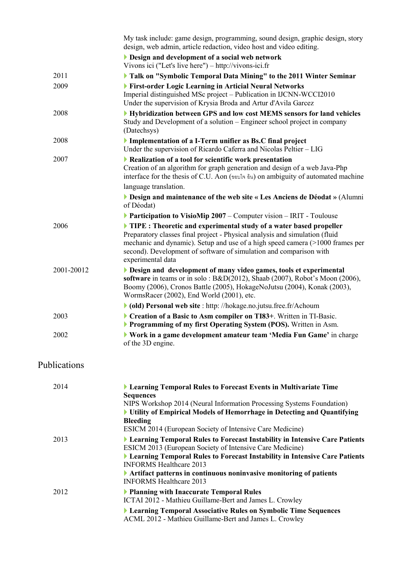|            | My task include: game design, programming, sound design, graphic design, story<br>design, web admin, article redaction, video host and video editing.                                                                                                                                                                         |
|------------|-------------------------------------------------------------------------------------------------------------------------------------------------------------------------------------------------------------------------------------------------------------------------------------------------------------------------------|
|            | Design and development of a social web network<br>Vivons ici ("Let's live here") - http://vivons-ici.fr                                                                                                                                                                                                                       |
| 2011       | Talk on "Symbolic Temporal Data Mining" to the 2011 Winter Seminar                                                                                                                                                                                                                                                            |
| 2009       | First-order Logic Learning in Articial Neural Networks<br>Imperial distinguished MSc project - Publication in IJCNN-WCCI2010<br>Under the supervision of Krysia Broda and Artur d'Avila Garcez                                                                                                                                |
| 2008       | <b>Hybridization between GPS and low cost MEMS sensors for land vehicles</b><br>Study and Development of a solution – Engineer school project in company<br>(Datechsys)                                                                                                                                                       |
| 2008       | Implementation of a I-Term unifier as Bs.C final project<br>Under the supervision of Ricardo Caferra and Nicolas Peltier – LIG                                                                                                                                                                                                |
| 2007       | Realization of a tool for scientific work presentation<br>Creation of an algorithm for graph generation and design of a web Java-Php<br>interface for the thesis of C.U. Aon (1011) on ambiguity of automated machine                                                                                                         |
|            | language translation.                                                                                                                                                                                                                                                                                                         |
|            | Design and maintenance of the web site « Les Anciens de Déodat » (Alumni<br>of Déodat)                                                                                                                                                                                                                                        |
|            | $\triangleright$ Participation to VisioMip 2007 – Computer vision – IRIT - Toulouse                                                                                                                                                                                                                                           |
| 2006       | TIPE : Theoretic and experimental study of a water based propeller<br>Preparatory classes final project - Physical analysis and simulation (fluid<br>mechanic and dynamic). Setup and use of a high speed camera (>1000 frames per<br>second). Development of software of simulation and comparison with<br>experimental data |
| 2001-20012 | Design and development of many video games, tools et experimental<br>software in teams or in solo: B&D(2012), Shaab (2007), Robot's Moon (2006),<br>Boomy (2006), Cronos Battle (2005), HokageNoJutsu (2004), Konak (2003),<br>WormsRacer (2002), End World (2001), etc.                                                      |
|            | • (old) Personal web site : http://hokage.no.jutsu.free.fr/Achoum                                                                                                                                                                                                                                                             |
| 2003       | Creation of a Basic to Asm compiler on TI83+. Written in TI-Basic.<br>Programming of my first Operating System (POS). Written in Asm.                                                                                                                                                                                         |
| 2002       | Work in a game development amateur team 'Media Fun Game' in charge<br>of the 3D engine.                                                                                                                                                                                                                                       |

## Publications

| 2014 | • Learning Temporal Rules to Forecast Events in Multivariate Time<br><b>Sequences</b><br>NIPS Workshop 2014 (Neural Information Processing Systems Foundation)<br>Utility of Empirical Models of Hemorrhage in Detecting and Quantifying<br><b>Bleeding</b><br>ESICM 2014 (European Society of Intensive Care Medicine)                                                 |
|------|-------------------------------------------------------------------------------------------------------------------------------------------------------------------------------------------------------------------------------------------------------------------------------------------------------------------------------------------------------------------------|
| 2013 | <b>Learning Temporal Rules to Forecast Instability in Intensive Care Patients</b><br>ESICM 2013 (European Society of Intensive Care Medicine)<br>> Learning Temporal Rules to Forecast Instability in Intensive Care Patients<br><b>INFORMS Healthcare 2013</b><br>Artifact patterns in continuous noninvasive monitoring of patients<br><b>INFORMS Healthcare 2013</b> |
| 2012 | • Planning with Inaccurate Temporal Rules<br>ICTAI 2012 - Mathieu Guillame-Bert and James L. Crowley<br><b>Learning Temporal Associative Rules on Symbolic Time Sequences</b><br>ACML 2012 - Mathieu Guillame-Bert and James L. Crowley                                                                                                                                 |